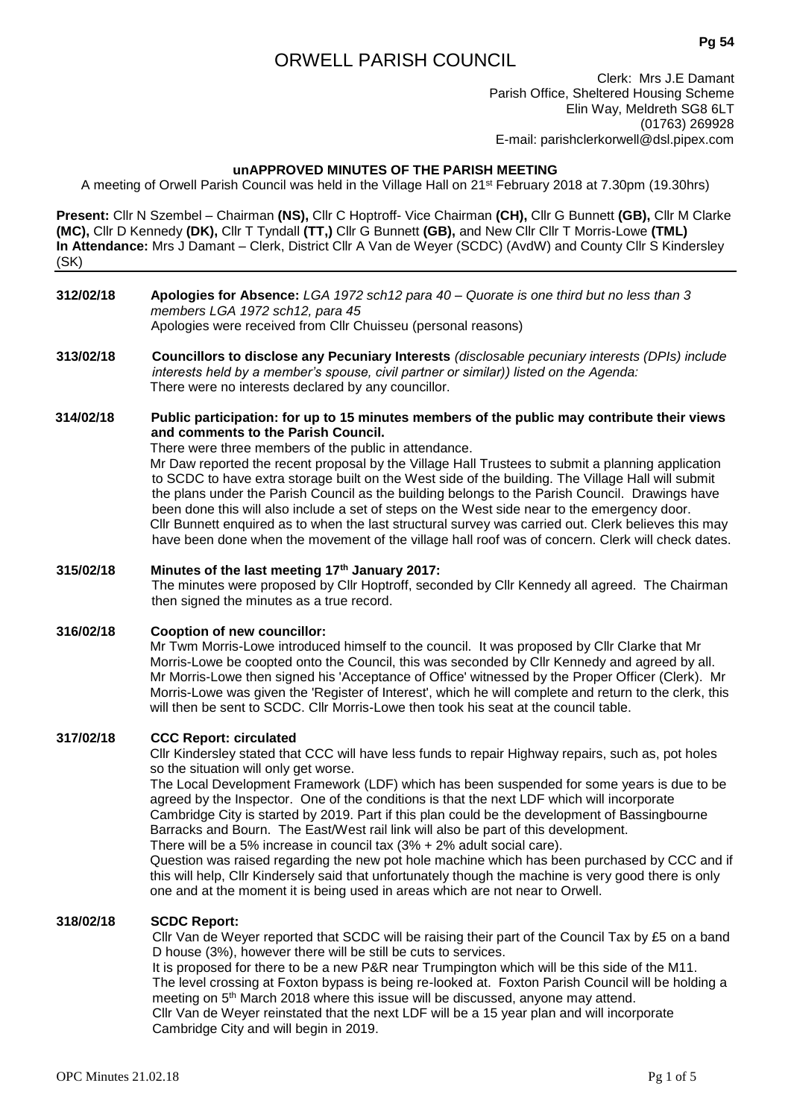# ORWELL PARISH COUNCIL

**Pg 54**

Clerk: Mrs J.E Damant Parish Office, Sheltered Housing Scheme Elin Way, Meldreth SG8 6LT (01763) 269928 E-mail: parishclerkorwell@dsl.pipex.com

# **unAPPROVED MINUTES OF THE PARISH MEETING**

A meeting of Orwell Parish Council was held in the Village Hall on 21st February 2018 at 7.30pm (19.30hrs)

**Present:** Cllr N Szembel – Chairman **(NS),** Cllr C Hoptroff- Vice Chairman **(CH),** Cllr G Bunnett **(GB),** Cllr M Clarke **(MC),** Cllr D Kennedy **(DK),** Cllr T Tyndall **(TT,)** Cllr G Bunnett **(GB),** and New Cllr Cllr T Morris-Lowe **(TML) In Attendance:** Mrs J Damant – Clerk, District Cllr A Van de Weyer (SCDC) (AvdW) and County Cllr S Kindersley (SK)

### **312/02/18 Apologies for Absence:** *LGA 1972 sch12 para 40 – Quorate is one third but no less than 3 members LGA 1972 sch12, para 45* Apologies were received from Cllr Chuisseu (personal reasons)

**313/02/18 Councillors to disclose any Pecuniary Interests** *(disclosable pecuniary interests (DPIs) include interests held by a member's spouse, civil partner or similar)) listed on the Agenda:* There were no interests declared by any councillor.

### **314/02/18 Public participation: for up to 15 minutes members of the public may contribute their views and comments to the Parish Council.**

There were three members of the public in attendance.

Mr Daw reported the recent proposal by the Village Hall Trustees to submit a planning application to SCDC to have extra storage built on the West side of the building. The Village Hall will submit the plans under the Parish Council as the building belongs to the Parish Council. Drawings have been done this will also include a set of steps on the West side near to the emergency door. Cllr Bunnett enquired as to when the last structural survey was carried out. Clerk believes this may have been done when the movement of the village hall roof was of concern. Clerk will check dates.

### **315/02/18 Minutes of the last meeting 17th January 2017:**

The minutes were proposed by Cllr Hoptroff, seconded by Cllr Kennedy all agreed. The Chairman then signed the minutes as a true record.

### **316/02/18 Cooption of new councillor:**

Mr Twm Morris-Lowe introduced himself to the council. It was proposed by Cllr Clarke that Mr Morris-Lowe be coopted onto the Council, this was seconded by Cllr Kennedy and agreed by all. Mr Morris-Lowe then signed his 'Acceptance of Office' witnessed by the Proper Officer (Clerk). Mr Morris-Lowe was given the 'Register of Interest', which he will complete and return to the clerk, this will then be sent to SCDC. Cllr Morris-Lowe then took his seat at the council table.

### **317/02/18 CCC Report: circulated**

Cllr Kindersley stated that CCC will have less funds to repair Highway repairs, such as, pot holes so the situation will only get worse.

The Local Development Framework (LDF) which has been suspended for some years is due to be agreed by the Inspector. One of the conditions is that the next LDF which will incorporate Cambridge City is started by 2019. Part if this plan could be the development of Bassingbourne Barracks and Bourn. The East/West rail link will also be part of this development.

There will be a 5% increase in council tax (3% + 2% adult social care).

Question was raised regarding the new pot hole machine which has been purchased by CCC and if this will help, Cllr Kindersely said that unfortunately though the machine is very good there is only one and at the moment it is being used in areas which are not near to Orwell.

## **318/02/18 SCDC Report:**

Cllr Van de Weyer reported that SCDC will be raising their part of the Council Tax by £5 on a band D house (3%), however there will be still be cuts to services.

It is proposed for there to be a new P&R near Trumpington which will be this side of the M11. The level crossing at Foxton bypass is being re-looked at. Foxton Parish Council will be holding a meeting on 5th March 2018 where this issue will be discussed, anyone may attend. Cllr Van de Weyer reinstated that the next LDF will be a 15 year plan and will incorporate Cambridge City and will begin in 2019.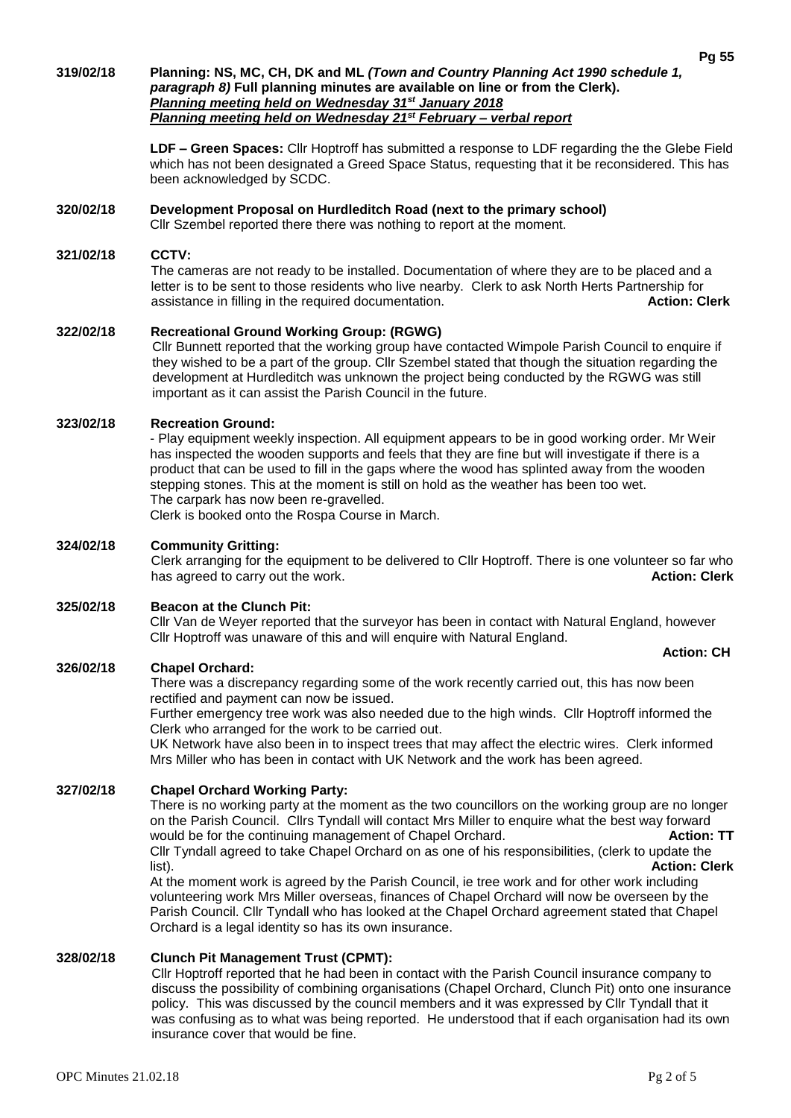### **319/02/18 Planning: NS, MC, CH, DK and ML** *(Town and Country Planning Act 1990 schedule 1, paragraph 8)* **Full planning minutes are available on line or from the Clerk).**  *Planning meeting held on Wednesday 31st January 2018 Planning meeting held on Wednesday 21st February – verbal report*

**LDF – Green Spaces:** Cllr Hoptroff has submitted a response to LDF regarding the the Glebe Field which has not been designated a Greed Space Status, requesting that it be reconsidered. This has been acknowledged by SCDC.

# **320/02/18 Development Proposal on Hurdleditch Road (next to the primary school)**

Cllr Szembel reported there there was nothing to report at the moment.

### **321/02/18 CCTV:**

The cameras are not ready to be installed. Documentation of where they are to be placed and a letter is to be sent to those residents who live nearby. Clerk to ask North Herts Partnership for assistance in filling in the required documentation. **Action: Clerk**

# **322/02/18 Recreational Ground Working Group: (RGWG)**

Cllr Bunnett reported that the working group have contacted Wimpole Parish Council to enquire if they wished to be a part of the group. Cllr Szembel stated that though the situation regarding the development at Hurdleditch was unknown the project being conducted by the RGWG was still important as it can assist the Parish Council in the future.

# **323/02/18 Recreation Ground:**

- Play equipment weekly inspection. All equipment appears to be in good working order. Mr Weir has inspected the wooden supports and feels that they are fine but will investigate if there is a product that can be used to fill in the gaps where the wood has splinted away from the wooden stepping stones. This at the moment is still on hold as the weather has been too wet. The carpark has now been re-gravelled. Clerk is booked onto the Rospa Course in March.

# **324/02/18 Community Gritting:**

Clerk arranging for the equipment to be delivered to Cllr Hoptroff. There is one volunteer so far who<br>**Action: Clerk**<br>**Action: Clerk** has agreed to carry out the work.

# **325/02/18 Beacon at the Clunch Pit:**

Cllr Van de Weyer reported that the surveyor has been in contact with Natural England, however Cllr Hoptroff was unaware of this and will enquire with Natural England.

# **326/02/18 Chapel Orchard:**

There was a discrepancy regarding some of the work recently carried out, this has now been rectified and payment can now be issued.

Further emergency tree work was also needed due to the high winds. Cllr Hoptroff informed the Clerk who arranged for the work to be carried out.

UK Network have also been in to inspect trees that may affect the electric wires. Clerk informed Mrs Miller who has been in contact with UK Network and the work has been agreed.

# **327/02/18 Chapel Orchard Working Party:**

There is no working party at the moment as the two councillors on the working group are no longer on the Parish Council. Cllrs Tyndall will contact Mrs Miller to enquire what the best way forward would be for the continuing management of Chapel Orchard. **Action: TT** Cllr Tyndall agreed to take Chapel Orchard on as one of his responsibilities, (clerk to update the list). **Action: Clerk** At the moment work is agreed by the Parish Council, ie tree work and for other work including

volunteering work Mrs Miller overseas, finances of Chapel Orchard will now be overseen by the Parish Council. Cllr Tyndall who has looked at the Chapel Orchard agreement stated that Chapel Orchard is a legal identity so has its own insurance.

# **328/02/18 Clunch Pit Management Trust (CPMT):**

Cllr Hoptroff reported that he had been in contact with the Parish Council insurance company to discuss the possibility of combining organisations (Chapel Orchard, Clunch Pit) onto one insurance policy. This was discussed by the council members and it was expressed by Cllr Tyndall that it was confusing as to what was being reported. He understood that if each organisation had its own insurance cover that would be fine.

 **Action: CH**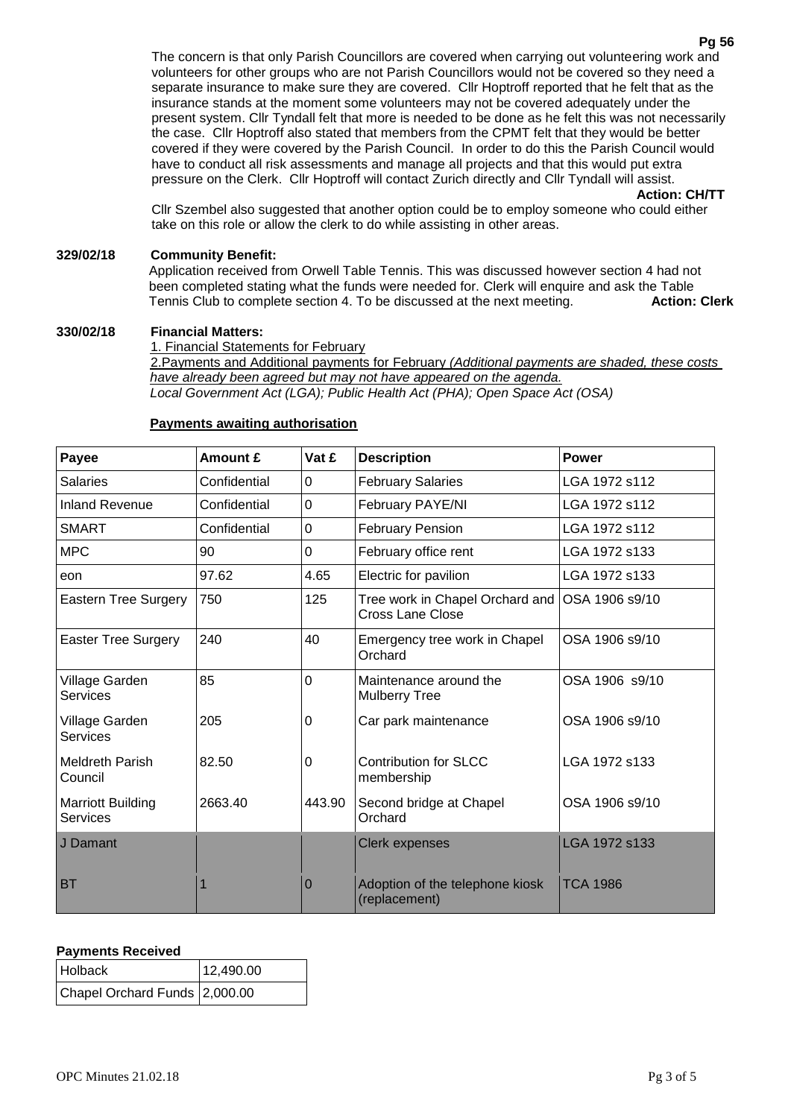The concern is that only Parish Councillors are covered when carrying out volunteering work and volunteers for other groups who are not Parish Councillors would not be covered so they need a separate insurance to make sure they are covered. Cllr Hoptroff reported that he felt that as the insurance stands at the moment some volunteers may not be covered adequately under the present system. Cllr Tyndall felt that more is needed to be done as he felt this was not necessarily the case. Cllr Hoptroff also stated that members from the CPMT felt that they would be better covered if they were covered by the Parish Council. In order to do this the Parish Council would have to conduct all risk assessments and manage all projects and that this would put extra pressure on the Clerk. Cllr Hoptroff will contact Zurich directly and Cllr Tyndall will assist.

**Action: CH/TT**

Cllr Szembel also suggested that another option could be to employ someone who could either take on this role or allow the clerk to do while assisting in other areas.

# **329/02/18 Community Benefit:**

Application received from Orwell Table Tennis. This was discussed however section 4 had not been completed stating what the funds were needed for. Clerk will enquire and ask the Table<br>Tennis Club to complete section 4. To be discussed at the next meeting. **Action: Clerk** Tennis Club to complete section 4. To be discussed at the next meeting.

### **330/02/18 Financial Matters:**

1. Financial Statements for February 2.Payments and Additional payments for February *(Additional payments are shaded, these costs have already been agreed but may not have appeared on the agenda. Local Government Act (LGA); Public Health Act (PHA); Open Space Act (OSA)*

#### **Payee Amount £ Vat £ Description Power** Salaries | Confidential | 0 | February Salaries | LGA 1972 s112 Inland Revenue  $\overline{\phantom{a}}$  Confidential  $\overline{\phantom{a}}$  | February PAYE/NI  $\overline{\phantom{a}}$  LGA 1972 s112 SMART Confidential 0 February Pension LGA 1972 s112 MPC  $\vert$ 90  $\vert$  February office rent LGA 1972 s133 eon 97.62 4.65 Electric for pavilion LGA 1972 s133 Eastern Tree Surgery 750 125 Tree work in Chapel Orchard and Cross Lane Close OSA 1906 s9/10 Easter Tree Surgery 240 40 Emergency tree work in Chapel **Orchard** OSA 1906 s9/10 Village Garden **Services** 85 0 Maintenance around the Mulberry Tree OSA 1906 s9/10 Village Garden **Services** 205 0 Car park maintenance OSA 1906 s9/10 Meldreth Parish Council 82.50 0 Contribution for SLCC membership LGA 1972 s133 Marriott Building Services 2663.40 443.90 Second bridge at Chapel **Orchard** OSA 1906 s9/10 J Damant Clerk expenses LGA 1972 s133 BT 1 1 0 Adoption of the telephone kiosk (replacement) TCA 1986

# **Payments awaiting authorisation**

# **Payments Received**

| <b>Holback</b>                | 12,490.00 |
|-------------------------------|-----------|
| Chapel Orchard Funds 2,000.00 |           |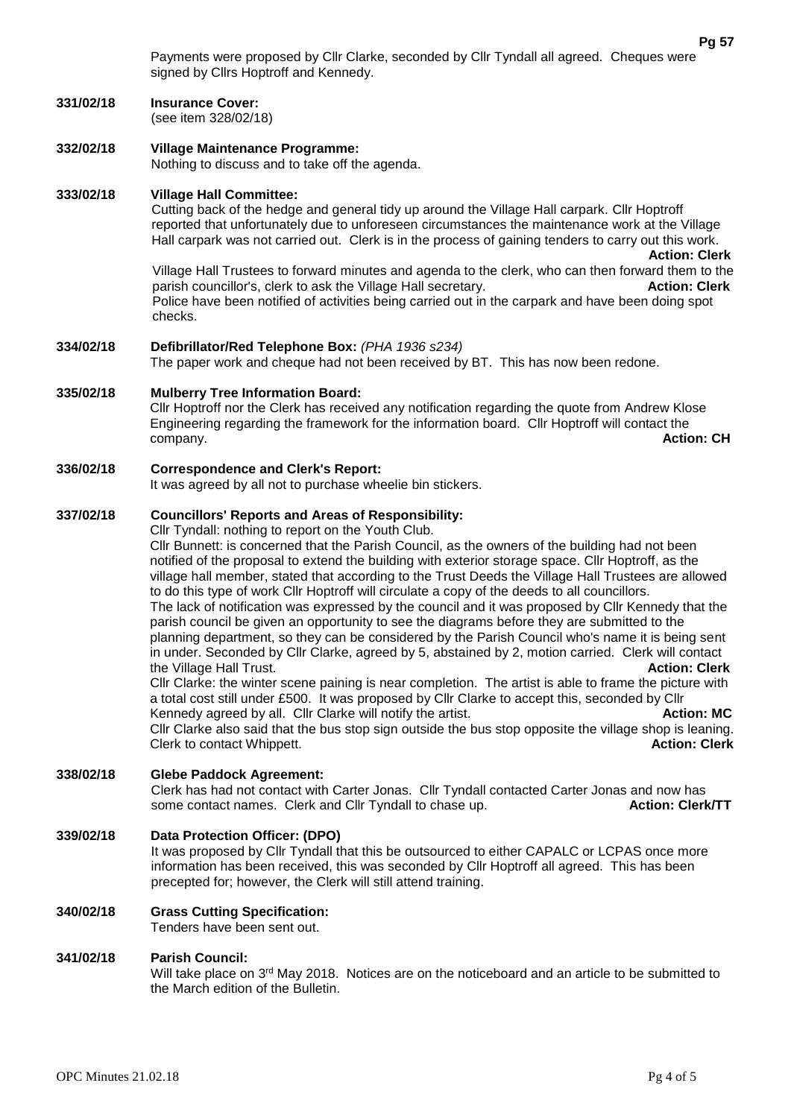Payments were proposed by Cllr Clarke, seconded by Cllr Tyndall all agreed. Cheques were signed by Cllrs Hoptroff and Kennedy.

#### **331/02/18 Insurance Cover:** (see item 328/02/18)

**332/02/18 Village Maintenance Programme:** Nothing to discuss and to take off the agenda.

## **333/02/18 Village Hall Committee:**

Cutting back of the hedge and general tidy up around the Village Hall carpark. Cllr Hoptroff reported that unfortunately due to unforeseen circumstances the maintenance work at the Village Hall carpark was not carried out. Clerk is in the process of gaining tenders to carry out this work.

 **Action: Clerk** Village Hall Trustees to forward minutes and agenda to the clerk, who can then forward them to the parish councillor's, clerk to ask the Village Hall secretary. **Action: Clerk** Action: Clerk Police have been notified of activities being carried out in the carpark and have been doing spot checks.

### **334/02/18 Defibrillator/Red Telephone Box:** *(PHA 1936 s234)*

The paper work and cheque had not been received by BT. This has now been redone.

### **335/02/18 Mulberry Tree Information Board:**

Cllr Hoptroff nor the Clerk has received any notification regarding the quote from Andrew Klose Engineering regarding the framework for the information board. Cllr Hoptroff will contact the company. **Action: CH**

### **336/02/18 Correspondence and Clerk's Report:**

It was agreed by all not to purchase wheelie bin stickers.

# **337/02/18 Councillors' Reports and Areas of Responsibility:**

Cllr Tyndall: nothing to report on the Youth Club.

Cllr Bunnett: is concerned that the Parish Council, as the owners of the building had not been notified of the proposal to extend the building with exterior storage space. Cllr Hoptroff, as the village hall member, stated that according to the Trust Deeds the Village Hall Trustees are allowed to do this type of work Cllr Hoptroff will circulate a copy of the deeds to all councillors. The lack of notification was expressed by the council and it was proposed by Cllr Kennedy that the parish council be given an opportunity to see the diagrams before they are submitted to the planning department, so they can be considered by the Parish Council who's name it is being sent in under. Seconded by Cllr Clarke, agreed by 5, abstained by 2, motion carried. Clerk will contact the Village Hall Trust. **Action: Clerk** Cllr Clarke: the winter scene paining is near completion. The artist is able to frame the picture with

a total cost still under £500. It was proposed by Cllr Clarke to accept this, seconded by Cllr Kennedy agreed by all. Cllr Clarke will notify the artist. **Action: MC** Action: **MC** Cllr Clarke also said that the bus stop sign outside the bus stop opposite the village shop is leaning. **Clerk to contact Whippett. Action: Clerk Action: Clerk Action: Clerk** 

# **338/02/18 Glebe Paddock Agreement:**

Clerk has had not contact with Carter Jonas. Cllr Tyndall contacted Carter Jonas and now has some contact names. Clerk and Cllr Tyndall to chase up. **Action: Clerk/TT** 

## **339/02/18 Data Protection Officer: (DPO)**

It was proposed by Cllr Tyndall that this be outsourced to either CAPALC or LCPAS once more information has been received, this was seconded by Cllr Hoptroff all agreed. This has been precepted for; however, the Clerk will still attend training.

# **340/02/18 Grass Cutting Specification:**

Tenders have been sent out.

### **341/02/18 Parish Council:**

Will take place on  $3<sup>rd</sup>$  May 2018. Notices are on the noticeboard and an article to be submitted to the March edition of the Bulletin.